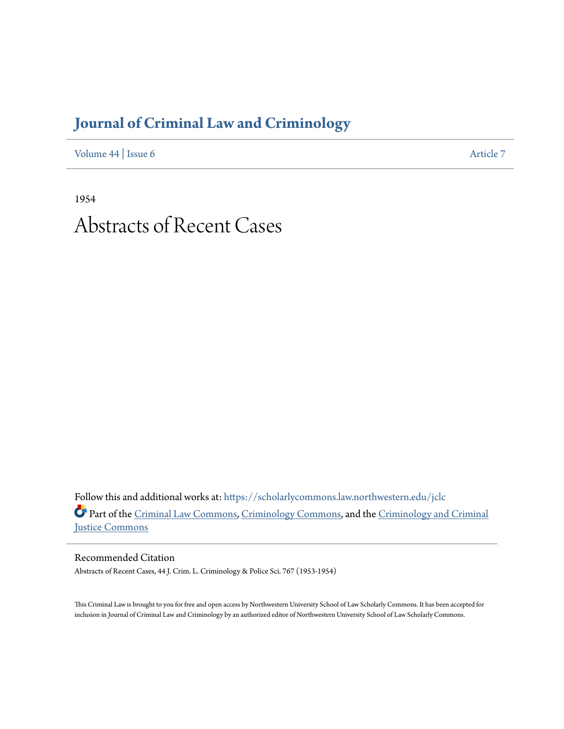## **[Journal of Criminal Law and Criminology](https://scholarlycommons.law.northwestern.edu/jclc?utm_source=scholarlycommons.law.northwestern.edu%2Fjclc%2Fvol44%2Fiss6%2F7&utm_medium=PDF&utm_campaign=PDFCoverPages)**

[Volume 44](https://scholarlycommons.law.northwestern.edu/jclc/vol44?utm_source=scholarlycommons.law.northwestern.edu%2Fjclc%2Fvol44%2Fiss6%2F7&utm_medium=PDF&utm_campaign=PDFCoverPages) | [Issue 6](https://scholarlycommons.law.northwestern.edu/jclc/vol44/iss6?utm_source=scholarlycommons.law.northwestern.edu%2Fjclc%2Fvol44%2Fiss6%2F7&utm_medium=PDF&utm_campaign=PDFCoverPages) [Article 7](https://scholarlycommons.law.northwestern.edu/jclc/vol44/iss6/7?utm_source=scholarlycommons.law.northwestern.edu%2Fjclc%2Fvol44%2Fiss6%2F7&utm_medium=PDF&utm_campaign=PDFCoverPages)

1954 Abstracts of Recent Cases

Follow this and additional works at: [https://scholarlycommons.law.northwestern.edu/jclc](https://scholarlycommons.law.northwestern.edu/jclc?utm_source=scholarlycommons.law.northwestern.edu%2Fjclc%2Fvol44%2Fiss6%2F7&utm_medium=PDF&utm_campaign=PDFCoverPages) Part of the [Criminal Law Commons](http://network.bepress.com/hgg/discipline/912?utm_source=scholarlycommons.law.northwestern.edu%2Fjclc%2Fvol44%2Fiss6%2F7&utm_medium=PDF&utm_campaign=PDFCoverPages), [Criminology Commons](http://network.bepress.com/hgg/discipline/417?utm_source=scholarlycommons.law.northwestern.edu%2Fjclc%2Fvol44%2Fiss6%2F7&utm_medium=PDF&utm_campaign=PDFCoverPages), and the [Criminology and Criminal](http://network.bepress.com/hgg/discipline/367?utm_source=scholarlycommons.law.northwestern.edu%2Fjclc%2Fvol44%2Fiss6%2F7&utm_medium=PDF&utm_campaign=PDFCoverPages) [Justice Commons](http://network.bepress.com/hgg/discipline/367?utm_source=scholarlycommons.law.northwestern.edu%2Fjclc%2Fvol44%2Fiss6%2F7&utm_medium=PDF&utm_campaign=PDFCoverPages)

Recommended Citation Abstracts of Recent Cases, 44 J. Crim. L. Criminology & Police Sci. 767 (1953-1954)

This Criminal Law is brought to you for free and open access by Northwestern University School of Law Scholarly Commons. It has been accepted for inclusion in Journal of Criminal Law and Criminology by an authorized editor of Northwestern University School of Law Scholarly Commons.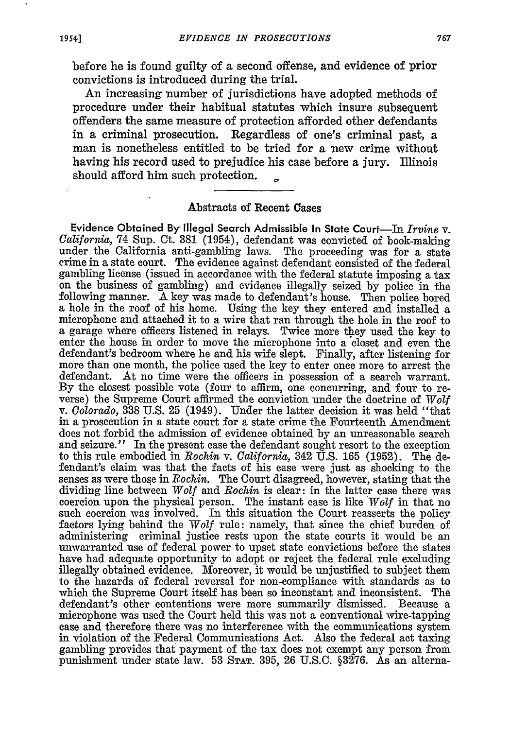before he is found guilty of a second offense, and evidence of prior convictions is introduced during the trial.

An increasing number of jurisdictions have adopted methods of procedure under their habitual statutes which insure subsequent offenders the same measure of protection afforded other defendants in a criminal prosecution. Regardless of one's criminal past, a man is nonetheless entitled to be tried for a new crime without having his record used to prejudice his case before a jury. Illinois should afford him such protection.

## Abstracts of Recent Cases

Evidence Obtained **By Illegal Search Admissible** In State Court-In *Irvine* v. *California,* 74 Sup. Ct. **381** (1954), defendant was convicted of book-making under the California anti-gambling laws. The proceeding was for a state crime in a state court. The evidence against defendant consisted of the federal gambling license (issued in accordance with the federal statute imposing a tax on the business of gambling) and evidence illegally seized by police in the following manner. A key was made to defendant's house. Then police bored a hole in the roof of his home. Using the key they entered and installed a microphone and attached it to a wire that ran through the hole in the roof to a garage where officers listened in relays. Twice more they used the key to enter the house in order to move the microphone into a closet and even the defendant's bedroom where he and his wife slept. Finally, after listening for more than one month, the police used the key to enter once more to arrest the defendant. At no time were the officers in possession of a search warrant. By the closest possible vote (four to affirm, one concurring, and four to reverse) the Supreme Court affirmed the conviction under the doctrine of *Wolf v. Colorado,* 338 U.S. 25 (1949). Under the latter decision it was held "that in a prosecution in a state court for a state crime the Fourteenth Amendment does not forbid the admission of evidence obtained by an unreasonable search and seizure." In the present case the defendant sought resort to the exception to this rule embodied in *Rochin v. California,* 342 U.S. 165 (1952). The defendant's claim was that the facts of his case were just as shocking to the senses as were those in *Rochin.* The Court disagreed, however, stating that the dividing line between *Wolf* and *Rochin* is clear: in the latter case there was coercion upon the physical person. The instant case is like *Wolf* in that no such coercion was involved. In this situation the Court reasserts the policy factors lying behind the *Wolf* rule: namely, that since the chief burden of administering criminal justice rests upon the state courts it would be an unwarranted use of federal power to upset state convictions before the states have had adequate opportunity to adopt or reject the federal rule excluding illegally obtained evidence. Moreover, it would be unjustified to subject them to the hazards of federal reversal for non-compliance with standards as to which the Supreme Court itself has been so inconstant and inconsistent. The defendant's other contentions were more summarily dismissed. Because a microphone was used the Court held this was not a conventional wire-tapping case and therefore there was no interference with the communications system in violation of the Federal Communications Act. Also the federal act taxing gambling provides that payment of the tax does not exempt any person from punishment under state law. 53 **STAT.** 395, 26 U.S.C. §3276. As an alterna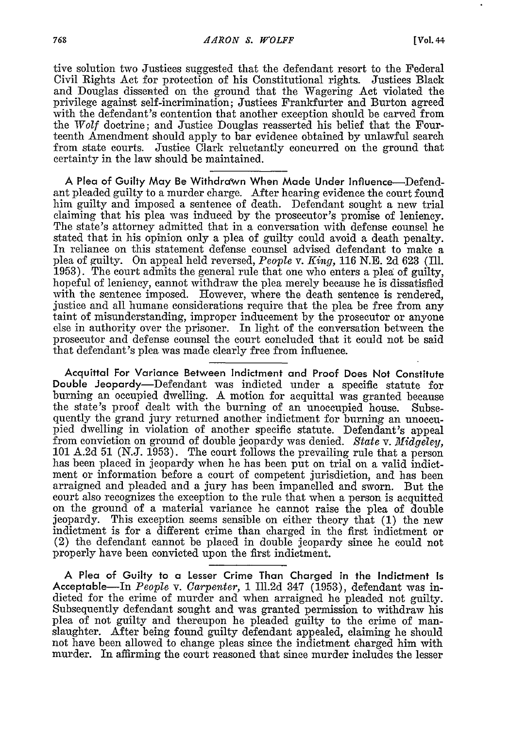tive solution two Justices suggested that the defendant resort to the Federal Civil Rights Act for protection of his Constitutional rights. Justices Black and Douglas dissented on the ground that the Wagering Act violated the privilege against self-incrimination; Justices Frankfurter and Burton agreed with the defendant's contention that another exception should be carved from the *Wolf* doctrine; and Justice Douglas reasserted his belief that the Fourteenth Amendment should apply to bar evidence obtained by unlawful search from state courts. Justice Clark reluctantly concurred on the ground that certainty in the law should be maintained.

**A** Plea of Guilty May Be Withdrawn When Made Under Influence-Defendant pleaded guilty to a murder charge. After hearing evidence the court found him guilty and imposed a sentence of death. Defendant sought a new trial claiming that his plea was induced by the prosecutor's promise of leniency. The state's attorney admitted that in a conversation with defense counsel he stated that in his opinion only a plea of guilty could avoid a death penalty. In reliance on this statement defense counsel advised defendant to make a plea of guilty. On appeal held reversed, *People v. King,* 116 N.E. 2d 623 (Ill. 1953). The court admits the general rule that one who enters a plea of guilty, hopeful of leniency, cannot withdraw the plea merely because he is dissatisfied with the sentence imposed. However, where the death sentence is rendered, justice and all humane considerations require that the plea be free from any taint of misunderstanding, improper inducement by the prosecutor or anyone else in authority over the prisoner. In light of the conversation between the prosecutor and defense counsel the court concluded that it could not be said that defendant's plea was made clearly free from influence.

Acquittal For Variance Between Indictment and Proof Does Not Constitute Double Jeopardy-Defendant was indicted under a specific statute for burning an occupied dwelling. A motion for acquittal was granted because the state's proof dealt with the burning of an unoccupied house. Subsequently the grand jury returned another indictment for burning an unoccupied dwelling in violation of another specific statute. Defendant's appeal from conviction on ground of double jeopardy was denied. *State v. M1idgeley,* 101 A.2d 51 (N.J. 1953). The court follows the prevailing rule that a person has been placed in jeopardy when he has been put on trial on a valid indictment or information before a court of competent jurisdiction, and has been arraigned and pleaded and a jury has been impanelled and sworn. But the court also recognizes the exception to the rule that when a person is acquitted on the ground of a material variance he cannot raise the plea of double jeopardy. This exception seems sensible on either theory that (1) the new indictment is for a different crime than charged in the first indictment or (2) the defendant cannot be placed in double jeopardy since he could not properly have been convicted upon the first indictment.

**A** Plea of Guilty to a Lesser Crime Than Charged in the Indictment Is Acceptable-In *People* v. *Carpenter,* 1 Ill.2d 347 (1953), defendant was indicted for the crime of murder and when arraigned he pleaded not guilty. Subsequently defendant sought and was granted permission to withdraw his plea of not guilty and thereupon he pleaded guilty to the crime of manslaughter. After being found guilty defendant appealed, claiming he should not have been allowed to change pleas since the indictment charged him with murder. In affirming the court reasoned that since murder includes the lesser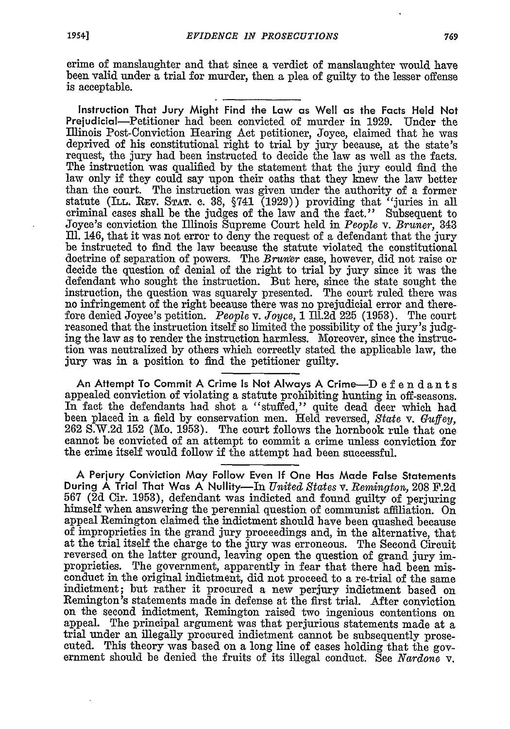crime of manslaughter and that since a verdict of manslaughter would have been valid under a trial for murder, then a plea of guilty to the lesser offense is acceptable.

Instruction That Jury Might Find the Law as Well as the Facts Held Not Prejudicial-Petitioner had been convicted of murder in **1929.** Under the Illinois Post-Conviction Hearing Act petitioner, Joyce, claimed that he was deprived of his constitutional right to trial by jury because, at the state's request, the jury had been instructed to decide the law as well as the facts. The instruction was qualified by the statement that the jury could find the law only if they could say upon their oaths that they knew the law better than the court. The instruction was given under the authority of a former statute (ILL. REV. **STAT. c.** 38, §741 (1929)) providing that "juries in all criminal cases shall be the judges of the law and the fact." Subsequent to Joyce's conviction the Illinois Supreme Court held in *People* v. *Bruner,* 343 Ill. 146, that it was not error to deny the request of a defendant that the jury be instructed to find the law because the statute violated the constitutional doctrine of separation of powers. The *Bruner* case, however, did not raise or decide the question of denial of the right to trial by jury since it was the defendant who sought the instruction. But here, since the state sought the instruction, the question was squarely presented. The court ruled there was no infringement of the right because there was no prejudicial error and therefore denied Joyce's petition. *People v. Joyce,* **1** Ill.2d 225 (1953). The court reasoned that the instruction itself so limited the possibility of the jury's judging the law as to render the instruction harmless. Moreover, since the instruction was neutralized by others which correctly stated the applicable law, the jury was in a position to find the petitioner guilty.

An Attempt To Commit **A** Crime Is Not Always **A** Crime-D **e** f e n **d** ants appealed conviction of violating a statute prohibiting hunting in off-seasons. In fact the defendants had shot a "stuffed," quite dead deer which had been placed in a field by conservation men. Held reversed, *State* v. *Guffey,* 262 S.W.2d 152 (Mo. 1953). The court follows the hornbook rule that one cannot be convicted of an attempt to commit a crime unless conviction for the crime itself would follow **if** the attempt had been successful.

**A** Perjury Conriction May Follow Even **If** One Has Made False Statements During A Trial That Was A Nullity-In *United States* v. *Renington,* **208 F.2d 567** (2d Cir. 1953), defendant was indicted and found guilty of perjuring himself when answering the perennial question of communist affiliation. On appeal Remington claimed the indictment should have been quashed because of improprieties in the grand jury proceedings and, in the alternative, that at the trial itself the charge to the jury was erroneous. The Second Circuit reversed on the latter ground, leaving open the question of grand jury improprieties. The government, apparently in fear that there had been misconduct in the original indictment, did not proceed to a re-trial of the same indictment; but rather it procured a new perjury indictment based on Remington's statements made in defense at the first trial. After conviction on the second indictment, Remington raised two ingenious contentions on appeal. The principal argument was that perjurious statements made at a trial under an illegally procured indictment cannot be subsequently prosecuted. This theory was based on a long line of cases holding that the government should be denied the fruits of its illegal conduct. See *Nardone* v.